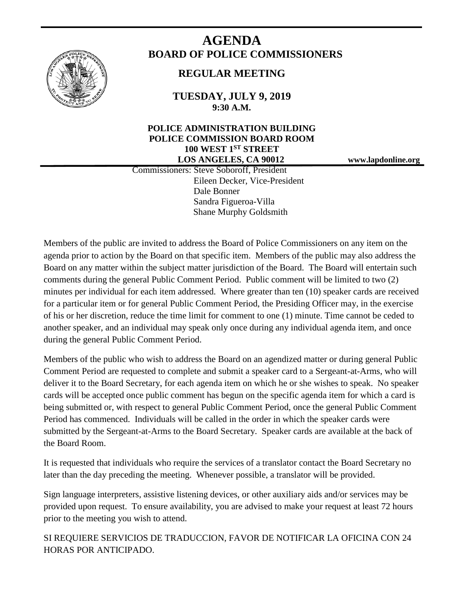

# **AGENDA BOARD OF POLICE COMMISSIONERS**

## **REGULAR MEETING**

**TUESDAY, JULY 9, 2019 9:30 A.M.**

### **POLICE ADMINISTRATION BUILDING POLICE COMMISSION BOARD ROOM 100 WEST 1ST STREET LOS ANGELES, CA 90012 www.lapdonline.org**

 Commissioners: Steve Soboroff, President Eileen Decker, Vice-President Dale Bonner Sandra Figueroa-Villa Shane Murphy Goldsmith

Members of the public are invited to address the Board of Police Commissioners on any item on the agenda prior to action by the Board on that specific item. Members of the public may also address the Board on any matter within the subject matter jurisdiction of the Board. The Board will entertain such comments during the general Public Comment Period. Public comment will be limited to two (2) minutes per individual for each item addressed. Where greater than ten (10) speaker cards are received for a particular item or for general Public Comment Period, the Presiding Officer may, in the exercise of his or her discretion, reduce the time limit for comment to one (1) minute. Time cannot be ceded to another speaker, and an individual may speak only once during any individual agenda item, and once during the general Public Comment Period.

Members of the public who wish to address the Board on an agendized matter or during general Public Comment Period are requested to complete and submit a speaker card to a Sergeant-at-Arms, who will deliver it to the Board Secretary, for each agenda item on which he or she wishes to speak. No speaker cards will be accepted once public comment has begun on the specific agenda item for which a card is being submitted or, with respect to general Public Comment Period, once the general Public Comment Period has commenced. Individuals will be called in the order in which the speaker cards were submitted by the Sergeant-at-Arms to the Board Secretary. Speaker cards are available at the back of the Board Room.

It is requested that individuals who require the services of a translator contact the Board Secretary no later than the day preceding the meeting. Whenever possible, a translator will be provided.

Sign language interpreters, assistive listening devices, or other auxiliary aids and/or services may be provided upon request. To ensure availability, you are advised to make your request at least 72 hours prior to the meeting you wish to attend.

SI REQUIERE SERVICIOS DE TRADUCCION, FAVOR DE NOTIFICAR LA OFICINA CON 24 HORAS POR ANTICIPADO.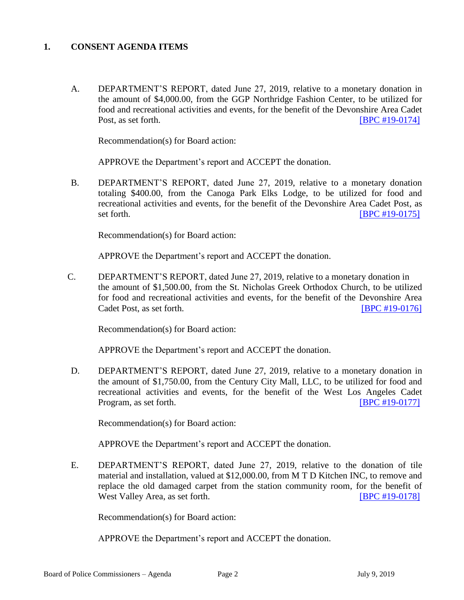#### **1. CONSENT AGENDA ITEMS**

A. DEPARTMENT'S REPORT, dated June 27, 2019, relative to a monetary donation in the amount of \$4,000.00, from the GGP Northridge Fashion Center, to be utilized for food and recreational activities and events, for the benefit of the Devonshire Area Cadet Post, as set forth. **IDPC #19-01741** 

Recommendation(s) for Board action:

APPROVE the Department's report and ACCEPT the donation.

B. DEPARTMENT'S REPORT, dated June 27, 2019, relative to a monetary donation totaling \$400.00, from the Canoga Park Elks Lodge, to be utilized for food and recreational activities and events, for the benefit of the Devonshire Area Cadet Post, as set forth. **IBPC #19-0175** 

Recommendation(s) for Board action:

APPROVE the Department's report and ACCEPT the donation.

C. DEPARTMENT'S REPORT, dated June 27, 2019, relative to a monetary donation in the amount of \$1,500.00, from the St. Nicholas Greek Orthodox Church, to be utilized for food and recreational activities and events, for the benefit of the Devonshire Area Cadet Post, as set forth. [\[BPC #19-0176\]](http://www.lapdpolicecom.lacity.org/070919/BPC_19-0176.pdf)

Recommendation(s) for Board action:

APPROVE the Department's report and ACCEPT the donation.

D. DEPARTMENT'S REPORT, dated June 27, 2019, relative to a monetary donation in the amount of \$1,750.00, from the Century City Mall, LLC, to be utilized for food and recreational activities and events, for the benefit of the West Los Angeles Cadet Program, as set forth. **IDPC #19-0177** 

Recommendation(s) for Board action:

APPROVE the Department's report and ACCEPT the donation.

E. DEPARTMENT'S REPORT, dated June 27, 2019, relative to the donation of tile material and installation, valued at \$12,000.00, from M T D Kitchen INC, to remove and replace the old damaged carpet from the station community room, for the benefit of West Valley Area, as set forth. **ISPC #19-0178** 

Recommendation(s) for Board action:

APPROVE the Department's report and ACCEPT the donation.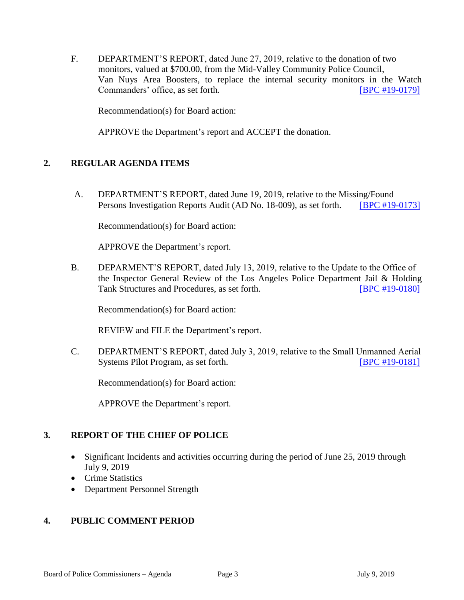F. DEPARTMENT'S REPORT, dated June 27, 2019, relative to the donation of two monitors, valued at \$700.00, from the Mid-Valley Community Police Council, Van Nuys Area Boosters, to replace the internal security monitors in the Watch Commanders' office, as set forth. [\[BPC #19-0179\]](http://www.lapdpolicecom.lacity.org/070919/BPC_19-0179.pdf)

Recommendation(s) for Board action:

APPROVE the Department's report and ACCEPT the donation.

#### **2. REGULAR AGENDA ITEMS**

A. DEPARTMENT'S REPORT, dated June 19, 2019, relative to the Missing/Found Persons Investigation Reports Audit (AD No. 18-009), as set forth. [\[BPC #19-0173\]](http://www.lapdpolicecom.lacity.org/070919/BPC_19-0173.pdf)

Recommendation(s) for Board action:

APPROVE the Department's report.

B. DEPARMENT'S REPORT, dated July 13, 2019, relative to the Update to the Office of the Inspector General Review of the Los Angeles Police Department Jail & Holding Tank Structures and Procedures, as set forth. **[\[BPC #19-0180\]](http://www.lapdpolicecom.lacity.org/070919/BPC_19-0180.pdf)** 

Recommendation(s) for Board action:

REVIEW and FILE the Department's report.

C. DEPARTMENT'S REPORT, dated July 3, 2019, relative to the Small Unmanned Aerial Systems Pilot Program, as set forth. [\[BPC #19-0181\]](http://www.lapdpolicecom.lacity.org/070919/BPC_19-0181.pdf)

Recommendation(s) for Board action:

APPROVE the Department's report.

#### **3. REPORT OF THE CHIEF OF POLICE**

- Significant Incidents and activities occurring during the period of June 25, 2019 through July 9, 2019
- Crime Statistics
- Department Personnel Strength

#### **4. PUBLIC COMMENT PERIOD**